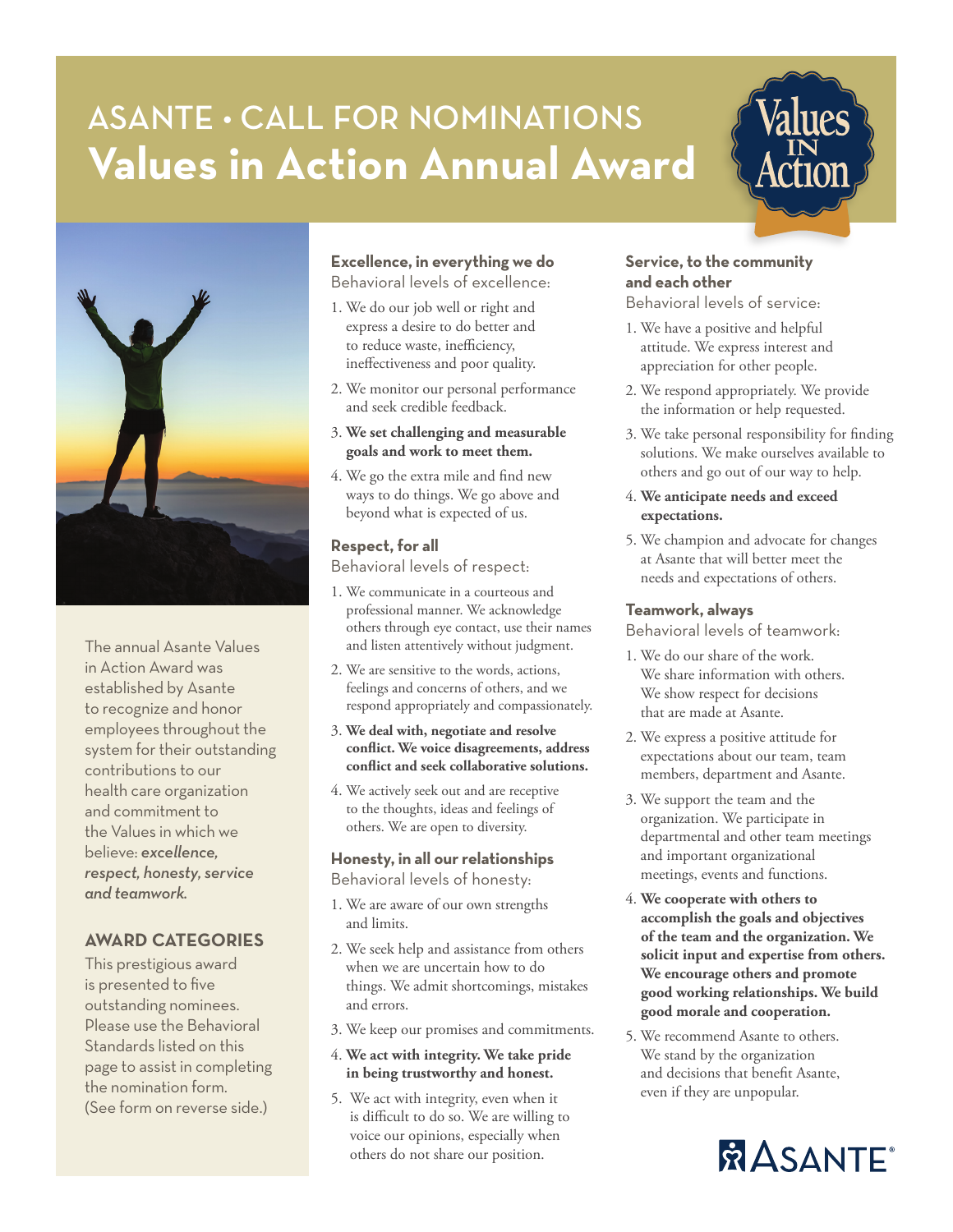# ASANTE • CALL FOR NOMINATIONS **Values in Action Annual Award**



The annual Asante Values in Action Award was established by Asante to recognize and honor employees throughout the system for their outstanding contributions to our health care organization and commitment to the Values in which we believe: *excellence, respect, honesty, service and teamwork.*

### **AWARD CATEGORIES**

This prestigious award is presented to five outstanding nominees. Please use the Behavioral Standards listed on this page to assist in completing the nomination form. (See form on reverse side.)

## **Excellence, in everything we do**

Behavioral levels of excellence:

- 1. We do our job well or right and express a desire to do better and to reduce waste, inefficiency, ineffectiveness and poor quality.
- 2. We monitor our personal performance and seek credible feedback.
- 3. **We set challenging and measurable goals and work to meet them.**
- 4. We go the extra mile and find new ways to do things. We go above and beyond what is expected of us.

#### **Respect, for all**

Behavioral levels of respect:

- 1. We communicate in a courteous and professional manner. We acknowledge others through eye contact, use their names and listen attentively without judgment.
- 2. We are sensitive to the words, actions, feelings and concerns of others, and we respond appropriately and compassionately.
- 3. **We deal with, negotiate and resolve conflict. We voice disagreements, address conflict and seek collaborative solutions.**
- 4. We actively seek out and are receptive to the thoughts, ideas and feelings of others. We are open to diversity.

#### **Honesty, in all our relationships**

Behavioral levels of honesty:

- 1. We are aware of our own strengths and limits.
- 2. We seek help and assistance from others when we are uncertain how to do things. We admit shortcomings, mistakes and errors.
- 3. We keep our promises and commitments.
- 4. **We act with integrity. We take pride in being trustworthy and honest.**
- 5. We act with integrity, even when it is difficult to do so. We are willing to voice our opinions, especially when others do not share our position.

#### **Service, to the community and each other**

Behavioral levels of service:

- 1. We have a positive and helpful attitude. We express interest and appreciation for other people.
- 2. We respond appropriately. We provide the information or help requested.
- 3. We take personal responsibility for finding solutions. We make ourselves available to others and go out of our way to help.
- 4. **We anticipate needs and exceed expectations.**
- 5. We champion and advocate for changes at Asante that will better meet the needs and expectations of others.

#### **Teamwork, always**

Behavioral levels of teamwork:

- 1. We do our share of the work. We share information with others. We show respect for decisions that are made at Asante.
- 2. We express a positive attitude for expectations about our team, team members, department and Asante.
- 3. We support the team and the organization. We participate in departmental and other team meetings and important organizational meetings, events and functions.
- 4. **We cooperate with others to accomplish the goals and objectives of the team and the organization. We solicit input and expertise from others. We encourage others and promote good working relationships. We build good morale and cooperation.**
- 5. We recommend Asante to others. We stand by the organization and decisions that benefit Asante, even if they are unpopular.